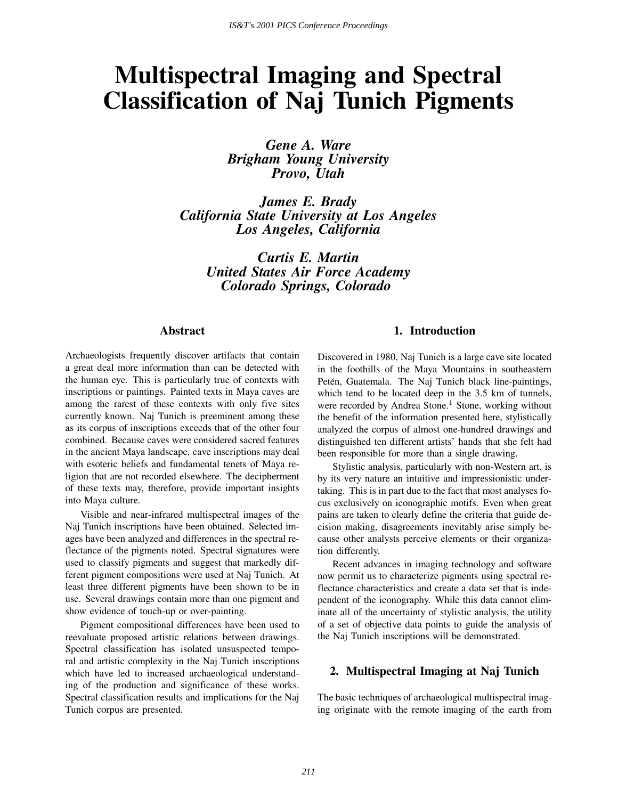# **Multispectral Imaging and Spectral Classification of Naj Tunich Pigments**

*Gene A. Ware Brigham Young University Provo, Utah*

*James E. Brady California State University at Los Angeles Los Angeles, California*

> *Curtis E. Martin United States Air Force Academy Colorado Springs, Colorado*

#### **Abstract**

Archaeologists frequently discover artifacts that contain a great deal more information than can be detected with the human eye. This is particularly true of contexts with inscriptions or paintings. Painted texts in Maya caves are among the rarest of these contexts with only five sites currently known. Naj Tunich is preeminent among these as its corpus of inscriptions exceeds that of the other four combined. Because caves were considered sacred features in the ancient Maya landscape, cave inscriptions may deal with esoteric beliefs and fundamental tenets of Maya religion that are not recorded elsewhere. The decipherment of these texts may, therefore, provide important insights into Maya culture.

Visible and near-infrared multispectral images of the Naj Tunich inscriptions have been obtained. Selected images have been analyzed and differences in the spectral reflectance of the pigments noted. Spectral signatures were used to classify pigments and suggest that markedly different pigment compositions were used at Naj Tunich. At least three different pigments have been shown to be in use. Several drawings contain more than one pigment and show evidence of touch-up or over-painting.

Pigment compositional differences have been used to reevaluate proposed artistic relations between drawings. Spectral classification has isolated unsuspected temporal and artistic complexity in the Naj Tunich inscriptions which have led to increased archaeological understanding of the production and significance of these works. Spectral classification results and implications for the Naj Tunich corpus are presented.

### **1. Introduction**

Discovered in 1980, Naj Tunich is a large cave site located in the foothills of the Maya Mountains in southeastern Petén, Guatemala. The Naj Tunich black line-paintings, which tend to be located deep in the 3.5 km of tunnels, were recorded by Andrea Stone.<sup>1</sup> Stone, working without the benefit of the information presented here, stylistically analyzed the corpus of almost one-hundred drawings and distinguished ten different artists' hands that she felt had been responsible for more than a single drawing.

Stylistic analysis, particularly with non-Western art, is by its very nature an intuitive and impressionistic undertaking. This is in part due to the fact that most analyses focus exclusively on iconographic motifs. Even when great pains are taken to clearly define the criteria that guide decision making, disagreements inevitably arise simply because other analysts perceive elements or their organization differently.

Recent advances in imaging technology and software now permit us to characterize pigments using spectral reflectance characteristics and create a data set that is independent of the iconography. While this data cannot eliminate all of the uncertainty of stylistic analysis, the utility of a set of objective data points to guide the analysis of the Naj Tunich inscriptions will be demonstrated.

# **2. Multispectral Imaging at Naj Tunich**

The basic techniques of archaeological multispectral imaging originate with the remote imaging of the earth from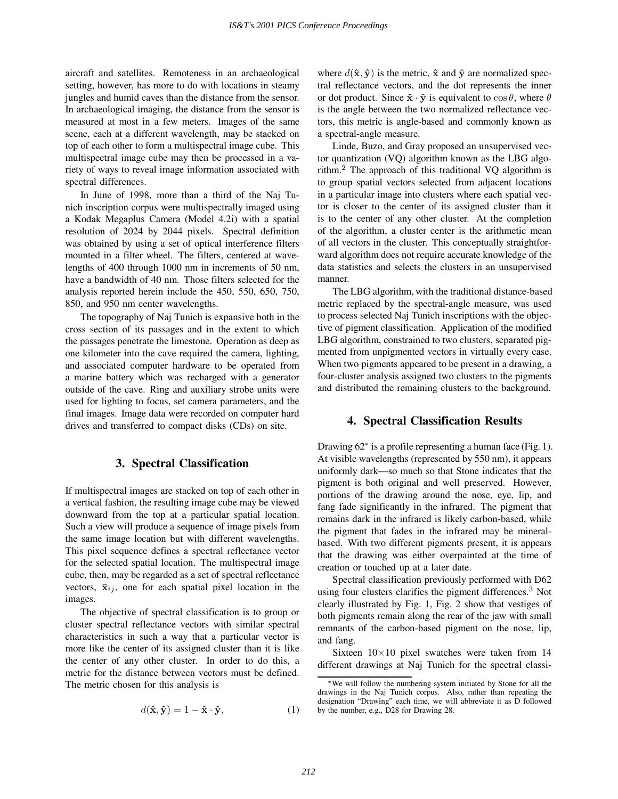aircraft and satellites. Remoteness in an archaeological setting, however, has more to do with locations in steamy jungles and humid caves than the distance from the sensor. In archaeological imaging, the distance from the sensor is measured at most in a few meters. Images of the same scene, each at a different wavelength, may be stacked on top of each other to form a multispectral image cube. This multispectral image cube may then be processed in a variety of ways to reveal image information associated with spectral differences.

In June of 1998, more than a third of the Naj Tunich inscription corpus were multispectrally imaged using a Kodak Megaplus Camera (Model 4.2i) with a spatial resolution of 2024 by 2044 pixels. Spectral definition was obtained by using a set of optical interference filters mounted in a filter wheel. The filters, centered at wavelengths of 400 through 1000 nm in increments of 50 nm, have a bandwidth of 40 nm. Those filters selected for the analysis reported herein include the 450, 550, 650, 750, 850, and 950 nm center wavelengths.

The topography of Naj Tunich is expansive both in the cross section of its passages and in the extent to which the passages penetrate the limestone. Operation as deep as one kilometer into the cave required the camera, lighting, and associated computer hardware to be operated from a marine battery which was recharged with a generator outside of the cave. Ring and auxiliary strobe units were used for lighting to focus, set camera parameters, and the final images. Image data were recorded on computer hard drives and transferred to compact disks (CDs) on site.

#### **3. Spectral Classification**

If multispectral images are stacked on top of each other in a vertical fashion, the resulting image cube may be viewed downward from the top at a particular spatial location. Such a view will produce a sequence of image pixels from the same image location but with different wavelengths. This pixel sequence defines a spectral reflectance vector for the selected spatial location. The multispectral image cube, then, may be regarded as a set of spectral reflectance vectors,  $\bar{\mathbf{x}}_{ij}$ , one for each spatial pixel location in the images.

The objective of spectral classification is to group or cluster spectral reflectance vectors with similar spectral characteristics in such a way that a particular vector is more like the center of its assigned cluster than it is like the center of any other cluster. In order to do this, a metric for the distance between vectors must be defined. The metric chosen for this analysis is

$$
d(\hat{\mathbf{x}}, \hat{\mathbf{y}}) = 1 - \hat{\mathbf{x}} \cdot \hat{\mathbf{y}},\tag{1}
$$

where  $d(\hat{\mathbf{x}}, \hat{\mathbf{y}})$  is the metric,  $\hat{\mathbf{x}}$  and  $\hat{\mathbf{y}}$  are normalized spectral reflectance vectors, and the dot represents the inner or dot product. Since  $\hat{\mathbf{x}} \cdot \hat{\mathbf{y}}$  is equivalent to  $\cos \theta$ , where  $\theta$ is the angle between the two normalized reflectance vectors, this metric is angle-based and commonly known as a spectral-angle measure.

Linde, Buzo, and Gray proposed an unsupervised vector quantization (VQ) algorithm known as the LBG algorithm.<sup>2</sup> The approach of this traditional VQ algorithm is to group spatial vectors selected from adjacent locations in a particular image into clusters where each spatial vector is closer to the center of its assigned cluster than it is to the center of any other cluster. At the completion of the algorithm, a cluster center is the arithmetic mean of all vectors in the cluster. This conceptually straightforward algorithm does not require accurate knowledge of the data statistics and selects the clusters in an unsupervised manner.

The LBG algorithm, with the traditional distance-based metric replaced by the spectral-angle measure, was used to process selected Naj Tunich inscriptions with the objective of pigment classification. Application of the modified LBG algorithm, constrained to two clusters, separated pigmented from unpigmented vectors in virtually every case. When two pigments appeared to be present in a drawing, a four-cluster analysis assigned two clusters to the pigments and distributed the remaining clusters to the background.

#### **4. Spectral Classification Results**

Drawing 62<sup>∗</sup> is a profile representing a human face (Fig. 1). At visible wavelengths (represented by 550 nm), it appears uniformly dark—so much so that Stone indicates that the pigment is both original and well preserved. However, portions of the drawing around the nose, eye, lip, and fang fade significantly in the infrared. The pigment that remains dark in the infrared is likely carbon-based, while the pigment that fades in the infrared may be mineralbased. With two different pigments present, it is appears that the drawing was either overpainted at the time of creation or touched up at a later date.

Spectral classification previously performed with D62 using four clusters clarifies the pigment differences.<sup>3</sup> Not clearly illustrated by Fig. 1, Fig. 2 show that vestiges of both pigments remain along the rear of the jaw with small remnants of the carbon-based pigment on the nose, lip, and fang.

Sixteen  $10\times10$  pixel swatches were taken from 14 different drawings at Naj Tunich for the spectral classi-

<sup>∗</sup>We will follow the numbering system initiated by Stone for all the drawings in the Naj Tunich corpus. Also, rather than repeating the designation "Drawing" each time, we will abbreviate it as D followed by the number, e.g., D28 for Drawing 28.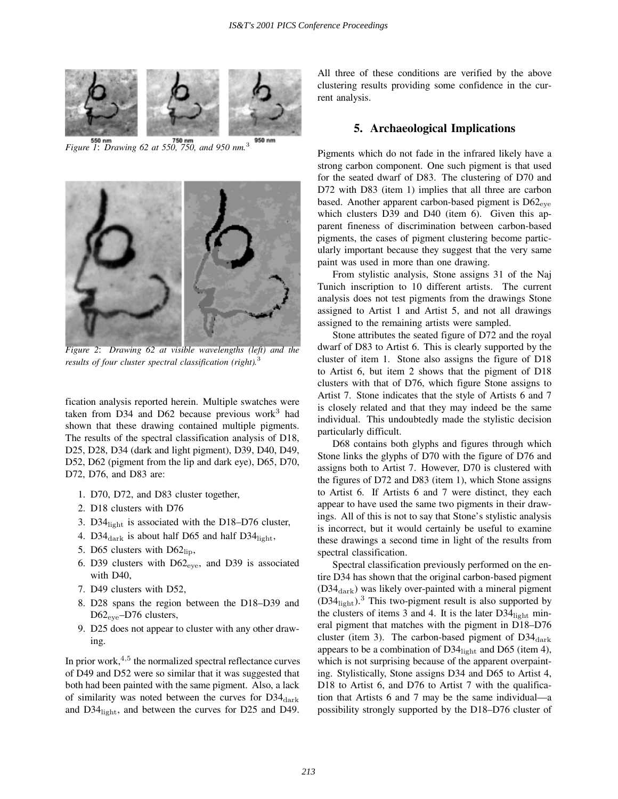

*Figure 1*: *Drawing 62 at 550, 750, and 950 nm.*<sup>3</sup>



*Figure 2*: *Drawing 62 at visible wavelengths (left) and the results of four cluster spectral classification (right).*<sup>3</sup>

fication analysis reported herein. Multiple swatches were taken from D34 and D62 because previous work $3$  had shown that these drawing contained multiple pigments. The results of the spectral classification analysis of D18, D25, D28, D34 (dark and light pigment), D39, D40, D49, D52, D62 (pigment from the lip and dark eye), D65, D70, D72, D76, and D83 are:

- 1. D70, D72, and D83 cluster together,
- 2. D18 clusters with D76
- 3. D34 $_{\text{light}}$  is associated with the D18–D76 cluster,
- 4. D34 $_{\rm dark}$  is about half D65 and half D34 $_{\rm light}$ ,
- 5. D65 clusters with  $D62_{\text{lib}}$ ,
- 6. D39 clusters with  $D62_{eve}$ , and D39 is associated with D40,
- 7. D49 clusters with D52,
- 8. D28 spans the region between the D18–D39 and D62<sub>eye</sub>–D76 clusters,
- 9. D25 does not appear to cluster with any other drawing.

In prior work, $4,5$  the normalized spectral reflectance curves of D49 and D52 were so similar that it was suggested that both had been painted with the same pigment. Also, a lack of similarity was noted between the curves for  $D34<sub>dark</sub>$ and D34light, and between the curves for D25 and D49. All three of these conditions are verified by the above clustering results providing some confidence in the current analysis.

#### **5. Archaeological Implications**

Pigments which do not fade in the infrared likely have a strong carbon component. One such pigment is that used for the seated dwarf of D83. The clustering of D70 and D72 with D83 (item 1) implies that all three are carbon based. Another apparent carbon-based pigment is  $D62_{\text{eve}}$ which clusters D39 and D40 (item 6). Given this apparent fineness of discrimination between carbon-based pigments, the cases of pigment clustering become particularly important because they suggest that the very same paint was used in more than one drawing.

From stylistic analysis, Stone assigns 31 of the Naj Tunich inscription to 10 different artists. The current analysis does not test pigments from the drawings Stone assigned to Artist 1 and Artist 5, and not all drawings assigned to the remaining artists were sampled.

Stone attributes the seated figure of D72 and the royal dwarf of D83 to Artist 6. This is clearly supported by the cluster of item 1. Stone also assigns the figure of D18 to Artist 6, but item 2 shows that the pigment of D18 clusters with that of D76, which figure Stone assigns to Artist 7. Stone indicates that the style of Artists 6 and 7 is closely related and that they may indeed be the same individual. This undoubtedly made the stylistic decision particularly difficult.

D68 contains both glyphs and figures through which Stone links the glyphs of D70 with the figure of D76 and assigns both to Artist 7. However, D70 is clustered with the figures of D72 and D83 (item 1), which Stone assigns to Artist 6. If Artists 6 and 7 were distinct, they each appear to have used the same two pigments in their drawings. All of this is not to say that Stone's stylistic analysis is incorrect, but it would certainly be useful to examine these drawings a second time in light of the results from spectral classification.

Spectral classification previously performed on the entire D34 has shown that the original carbon-based pigment  $(D34<sub>dark</sub>)$  was likely over-painted with a mineral pigment  $(D34<sub>light</sub>)$ .<sup>3</sup> This two-pigment result is also supported by the clusters of items 3 and 4. It is the later  $D34_{light}$  mineral pigment that matches with the pigment in D18–D76 cluster (item 3). The carbon-based pigment of  $D34<sub>dark</sub>$ appears to be a combination of  $D34_{light}$  and D65 (item 4), which is not surprising because of the apparent overpainting. Stylistically, Stone assigns D34 and D65 to Artist 4, D18 to Artist 6, and D76 to Artist 7 with the qualification that Artists 6 and 7 may be the same individual—a possibility strongly supported by the D18–D76 cluster of